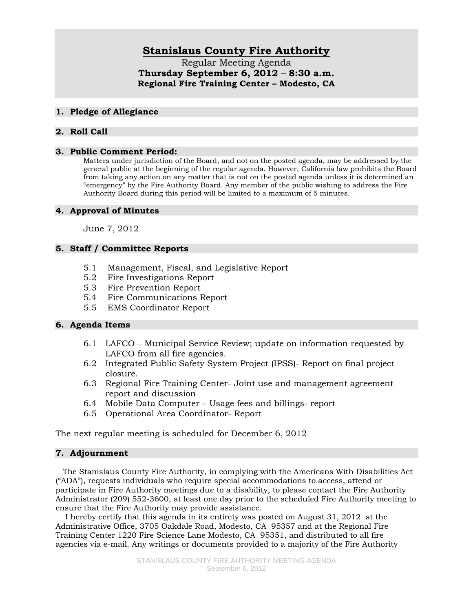# **Stanislaus County Fire Authority**

Regular Meeting Agenda **Thursday September 6, 2012** – **8:30 a.m. Regional Fire Training Center – Modesto, CA** 

### **1. Pledge of Allegiance**

## **2. Roll Call**

#### **3. Public Comment Period:**

Matters under jurisdiction of the Board, and not on the posted agenda, may be addressed by the general public at the beginning of the regular agenda. However, California law prohibits the Board from taking any action on any matter that is not on the posted agenda unless it is determined an "emergency" by the Fire Authority Board. Any member of the public wishing to address the Fire Authority Board during this period will be limited to a maximum of 5 minutes.

### **4. Approval of Minutes**

June 7, 2012

## **5. Staff / Committee Reports**

- 5.1 Management, Fiscal, and Legislative Report
- 5.2 Fire Investigations Report
- 5.3 Fire Prevention Report
- 5.4 Fire Communications Report
- 5.5 EMS Coordinator Report

#### **6. Agenda Items**

- 6.1 LAFCO Municipal Service Review; update on information requested by LAFCO from all fire agencies.
- 6.2 Integrated Public Safety System Project (IPSS)- Report on final project closure.
- 6.3 Regional Fire Training Center- Joint use and management agreement report and discussion
- 6.4 Mobile Data Computer Usage fees and billings- report
- 6.5 Operational Area Coordinator- Report

The next regular meeting is scheduled for December 6, 2012

#### **7. Adjournment**

 The Stanislaus County Fire Authority, in complying with the Americans With Disabilities Act ("ADA"), requests individuals who require special accommodations to access, attend or participate in Fire Authority meetings due to a disability, to please contact the Fire Authority Administrator (209) 552-3600, at least one day prior to the scheduled Fire Authority meeting to ensure that the Fire Authority may provide assistance.

 I hereby certify that this agenda in its entirety was posted on August 31, 2012 at the Administrative Office, 3705 Oakdale Road, Modesto, CA 95357 and at the Regional Fire Training Center 1220 Fire Science Lane Modesto, CA 95351, and distributed to all fire agencies via e-mail. Any writings or documents provided to a majority of the Fire Authority